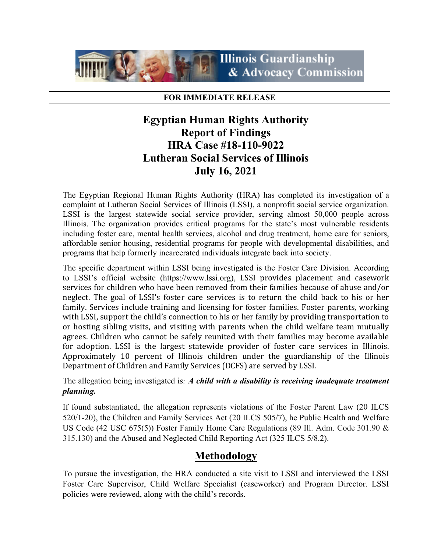

#### **FOR IMMEDIATE RELEASE**

# **Egyptian Human Rights Authority Report of Findings HRA Case #18-110-9022 Lutheran Social Services of Illinois July 16, 2021**

The Egyptian Regional Human Rights Authority (HRA) has completed its investigation of a complaint at Lutheran Social Services of Illinois (LSSI), a nonprofit social service organization. LSSI is the largest statewide social service provider, serving almost 50,000 people across Illinois. The organization provides critical programs for the state's most vulnerable residents including [foster care,](https://www.lssi.org/childrens-community/foster-care.php) [mental health services,](https://www.lssi.org/behavioral-health/mental-health.php) [alcohol and drug treatment,](https://www.lssi.org/behavioral-health/alcohol-drug-treatment.php) [home care for seniors,](https://www.lssi.org/homecare) [affordable senior housing,](https://www.lssi.org/services-affordable-housing.php) [residential programs for people with developmental disabilities,](https://www.lssi.org/behavioral-health/intellectual-disabilities-services.php) and programs that help [formerly incarcerated individuals](https://www.lssi.org/services-prisoner-family.php) integrate back into society.

The specific department within LSSI being investigated is the Foster Care Division. According to LSSI's official website (https://www.lssi.org), LSSI provides placement and casework services for children who have been removed from their families because of abuse and/or neglect. The goal of LSSI's foster care services is to return the child back to his or her family. Services include training and licensing for foster families. Foster parents, working with LSSI, support the child's connection to his or her family by providing transportation to or hosting sibling visits, and visiting with parents when the child welfare team mutually agrees. Children who cannot be safely reunited with their families may become available for adoption. LSSI is the largest statewide provider of foster care services in Illinois. Approximately 10 percent of Illinois children under the guardianship of the Illinois Department of Children and Family Services (DCFS) are served by LSSI.

The allegation being investigated is*: A child with a disability is receiving inadequate treatment planning.*

If found substantiated, the allegation represents violations of the Foster Parent Law (20 ILCS 520/1-20), the Children and Family Services Act (20 ILCS 505/7), he Public Health and Welfare US Code (42 USC 675(5)) Foster Family Home Care Regulations (89 Ill. Adm. Code 301.90 & 315.130) and the Abused and Neglected Child Reporting Act (325 ILCS 5/8.2).

# **Methodology**

To pursue the investigation, the HRA conducted a site visit to LSSI and interviewed the LSSI Foster Care Supervisor, Child Welfare Specialist (caseworker) and Program Director. LSSI policies were reviewed, along with the child's records.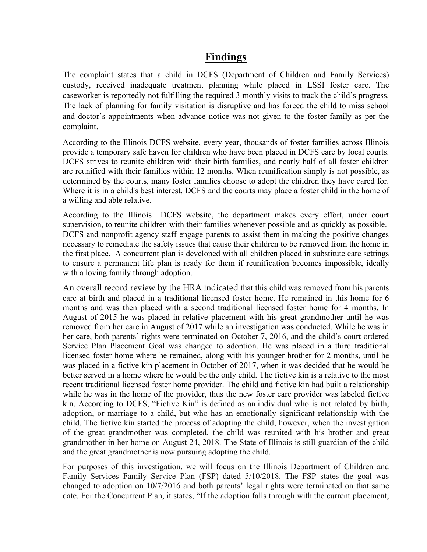### **Findings**

The complaint states that a child in DCFS (Department of Children and Family Services) custody, received inadequate treatment planning while placed in LSSI foster care. The caseworker is reportedly not fulfilling the required 3 monthly visits to track the child's progress. The lack of planning for family visitation is disruptive and has forced the child to miss school and doctor's appointments when advance notice was not given to the foster family as per the complaint.

According to the Illinois DCFS website, every year, thousands of foster families across Illinois provide a temporary safe haven for children who have been placed in DCFS care by local courts. DCFS strives to reunite children with their birth families, and nearly half of all foster children are reunified with their families within 12 months. When reunification simply is not possible, as determined by the courts, many foster families choose to adopt the children they have cared for. Where it is in a child's best interest, DCFS and the courts may place a foster child in the home of a willing and able relative.

According to the Illinois DCFS website, the department makes every effort, under court supervision, to [reunite](https://www2.illinois.gov/dcfs/lovinghomes/families/Pages/Family-Preservation-Services.aspx) children with their families whenever possible and as quickly as possible. DCFS and nonprofit agency staff engage parents to assist them in making the positive changes necessary to remediate the safety issues that cause their children to be removed from the home in the first place. A concurrent plan is developed with all children placed in substitute care settings to ensure a permanent life plan is ready for them if reunification becomes impossible, ideally with a loving family through adoption.

An overall record review by the HRA indicated that this child was removed from his parents care at birth and placed in a traditional licensed foster home. He remained in this home for 6 months and was then placed with a second traditional licensed foster home for 4 months. In August of 2015 he was placed in relative placement with his great grandmother until he was removed from her care in August of 2017 while an investigation was conducted. While he was in her care, both parents' rights were terminated on October 7, 2016, and the child's court ordered Service Plan Placement Goal was changed to adoption. He was placed in a third traditional licensed foster home where he remained, along with his younger brother for 2 months, until he was placed in a fictive kin placement in October of 2017, when it was decided that he would be better served in a home where he would be the only child. The fictive kin is a relative to the most recent traditional licensed foster home provider. The child and fictive kin had built a relationship while he was in the home of the provider, thus the new foster care provider was labeled fictive kin. According to DCFS, "Fictive Kin" is defined as an individual who is not related by birth, adoption, or marriage to a child, but who has an emotionally significant relationship with the child. The fictive kin started the process of adopting the child, however, when the investigation of the great grandmother was completed, the child was reunited with his brother and great grandmother in her home on August 24, 2018. The State of Illinois is still guardian of the child and the great grandmother is now pursuing adopting the child.

For purposes of this investigation, we will focus on the Illinois Department of Children and Family Services Family Service Plan (FSP) dated 5/10/2018. The FSP states the goal was changed to adoption on 10/7/2016 and both parents' legal rights were terminated on that same date. For the Concurrent Plan, it states, "If the adoption falls through with the current placement,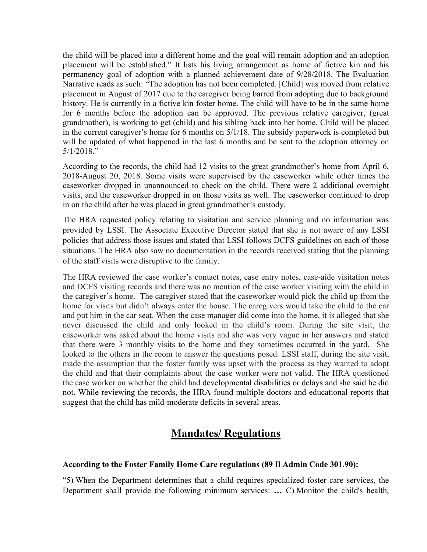the child will be placed into a different home and the goal will remain adoption and an adoption placement will be established." It lists his living arrangement as home of fictive kin and his permanency goal of adoption with a planned achievement date of 9/28/2018. The Evaluation Narrative reads as such: "The adoption has not been completed. [Child] was moved from relative placement in August of 2017 due to the caregiver being barred from adopting due to background history. He is currently in a fictive kin foster home. The child will have to be in the same home for 6 months before the adoption can be approved. The previous relative caregiver, (great grandmother), is working to get (child) and his sibling back into her home. Child will be placed in the current caregiver's home for 6 months on 5/1/18. The subsidy paperwork is completed but will be updated of what happened in the last 6 months and be sent to the adoption attorney on 5/1/2018."

According to the records, the child had 12 visits to the great grandmother's home from April 6, 2018-August 20, 2018. Some visits were supervised by the caseworker while other times the caseworker dropped in unannounced to check on the child. There were 2 additional overnight visits, and the caseworker dropped in on those visits as well. The caseworker continued to drop in on the child after he was placed in great grandmother's custody.

The HRA requested policy relating to visitation and service planning and no information was provided by LSSI. The Associate Executive Director stated that she is not aware of any LSSI policies that address those issues and stated that LSSI follows DCFS guidelines on each of those situations. The HRA also saw no documentation in the records received stating that the planning of the staff visits were disruptive to the family.

The HRA reviewed the case worker's contact notes, case entry notes, case-aide visitation notes and DCFS visiting records and there was no mention of the case worker visiting with the child in the caregiver's home. The caregiver stated that the caseworker would pick the child up from the home for visits but didn't always enter the house. The caregivers would take the child to the car and put him in the car seat. When the case manager did come into the home, it is alleged that she never discussed the child and only looked in the child's room. During the site visit, the caseworker was asked about the home visits and she was very vague in her answers and stated that there were 3 monthly visits to the home and they sometimes occurred in the yard. She looked to the others in the room to answer the questions posed. LSSI staff, during the site visit, made the assumption that the foster family was upset with the process as they wanted to adopt the child and that their complaints about the case worker were not valid. The HRA questioned the case worker on whether the child had developmental disabilities or delays and she said he did not. While reviewing the records, the HRA found multiple doctors and educational reports that suggest that the child has mild-moderate deficits in several areas.

# **Mandates/ Regulations**

### **According to the Foster Family Home Care regulations (89 Il Admin Code 301.90):**

"5) When the Department determines that a child requires specialized foster care services, the Department shall provide the following minimum services: **…** C) Monitor the child's health,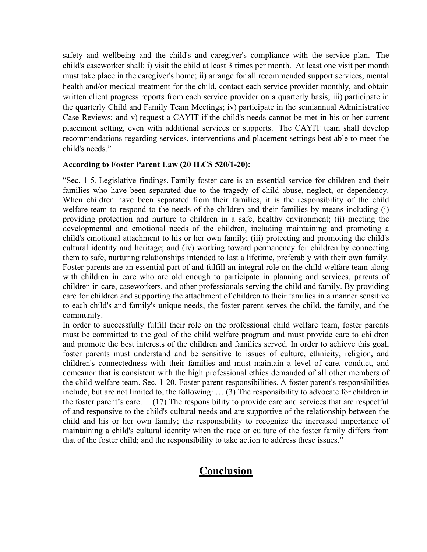safety and wellbeing and the child's and caregiver's compliance with the service plan. The child's caseworker shall: i) visit the child at least 3 times per month. At least one visit per month must take place in the caregiver's home; ii) arrange for all recommended support services, mental health and/or medical treatment for the child, contact each service provider monthly, and obtain written client progress reports from each service provider on a quarterly basis; iii) participate in the quarterly Child and Family Team Meetings; iv) participate in the semiannual Administrative Case Reviews; and v) request a CAYIT if the child's needs cannot be met in his or her current placement setting, even with additional services or supports. The CAYIT team shall develop recommendations regarding services, interventions and placement settings best able to meet the child's needs."

### **According to Foster Parent Law (20 ILCS 520/1-20):**

"Sec. 1-5. Legislative findings. Family foster care is an essential service for children and their families who have been separated due to the tragedy of child abuse, neglect, or dependency. When children have been separated from their families, it is the responsibility of the child welfare team to respond to the needs of the children and their families by means including (i) providing protection and nurture to children in a safe, healthy environment; (ii) meeting the developmental and emotional needs of the children, including maintaining and promoting a child's emotional attachment to his or her own family; (iii) protecting and promoting the child's cultural identity and heritage; and (iv) working toward permanency for children by connecting them to safe, nurturing relationships intended to last a lifetime, preferably with their own family. Foster parents are an essential part of and fulfill an integral role on the child welfare team along with children in care who are old enough to participate in planning and services, parents of children in care, caseworkers, and other professionals serving the child and family. By providing care for children and supporting the attachment of children to their families in a manner sensitive to each child's and family's unique needs, the foster parent serves the child, the family, and the community.

In order to successfully fulfill their role on the professional child welfare team, foster parents must be committed to the goal of the child welfare program and must provide care to children and promote the best interests of the children and families served. In order to achieve this goal, foster parents must understand and be sensitive to issues of culture, ethnicity, religion, and children's connectedness with their families and must maintain a level of care, conduct, and demeanor that is consistent with the high professional ethics demanded of all other members of the child welfare team. Sec. 1-20. Foster parent responsibilities. A foster parent's responsibilities include, but are not limited to, the following: … (3) The responsibility to advocate for children in the foster parent's care…. (17) The responsibility to provide care and services that are respectful of and responsive to the child's cultural needs and are supportive of the relationship between the child and his or her own family; the responsibility to recognize the increased importance of maintaining a child's cultural identity when the race or culture of the foster family differs from that of the foster child; and the responsibility to take action to address these issues."

# **Conclusion**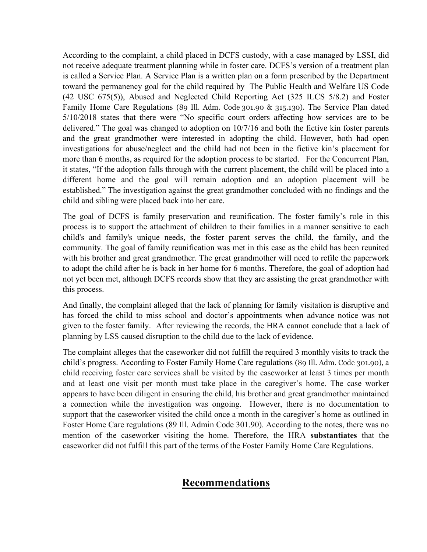According to the complaint, a child placed in DCFS custody, with a case managed by LSSI, did not receive adequate treatment planning while in foster care. DCFS's version of a treatment plan is called a Service Plan. A Service Plan is a written plan on a form prescribed by the Department toward the permanency goal for the child required by The Public Health and Welfare US Code (42 USC 675(5)), Abused and Neglected Child Reporting Act (325 ILCS 5/8.2) and Foster Family Home Care Regulations (89 Ill. Adm. Code 301.90 & 315.130). The Service Plan dated 5/10/2018 states that there were "No specific court orders affecting how services are to be delivered." The goal was changed to adoption on 10/7/16 and both the fictive kin foster parents and the great grandmother were interested in adopting the child. However, both had open investigations for abuse/neglect and the child had not been in the fictive kin's placement for more than 6 months, as required for the adoption process to be started. For the Concurrent Plan, it states, "If the adoption falls through with the current placement, the child will be placed into a different home and the goal will remain adoption and an adoption placement will be established." The investigation against the great grandmother concluded with no findings and the child and sibling were placed back into her care.

The goal of DCFS is family preservation and reunification. The foster family's role in this process is to support the attachment of children to their families in a manner sensitive to each child's and family's unique needs, the foster parent serves the child, the family, and the community. The goal of family reunification was met in this case as the child has been reunited with his brother and great grandmother. The great grandmother will need to refile the paperwork to adopt the child after he is back in her home for 6 months. Therefore, the goal of adoption had not yet been met, although DCFS records show that they are assisting the great grandmother with this process.

And finally, the complaint alleged that the lack of planning for family visitation is disruptive and has forced the child to miss school and doctor's appointments when advance notice was not given to the foster family. After reviewing the records, the HRA cannot conclude that a lack of planning by LSS caused disruption to the child due to the lack of evidence.

The complaint alleges that the caseworker did not fulfill the required 3 monthly visits to track the child's progress. According to Foster Family Home Care regulations (89 Ill. Adm. Code 301.90), a child receiving foster care services shall be visited by the caseworker at least 3 times per month and at least one visit per month must take place in the caregiver's home. The case worker appears to have been diligent in ensuring the child, his brother and great grandmother maintained a connection while the investigation was ongoing. However, there is no documentation to support that the caseworker visited the child once a month in the caregiver's home as outlined in Foster Home Care regulations (89 Ill. Admin Code 301.90). According to the notes, there was no mention of the caseworker visiting the home. Therefore, the HRA **substantiates** that the caseworker did not fulfill this part of the terms of the Foster Family Home Care Regulations.

# **Recommendations**